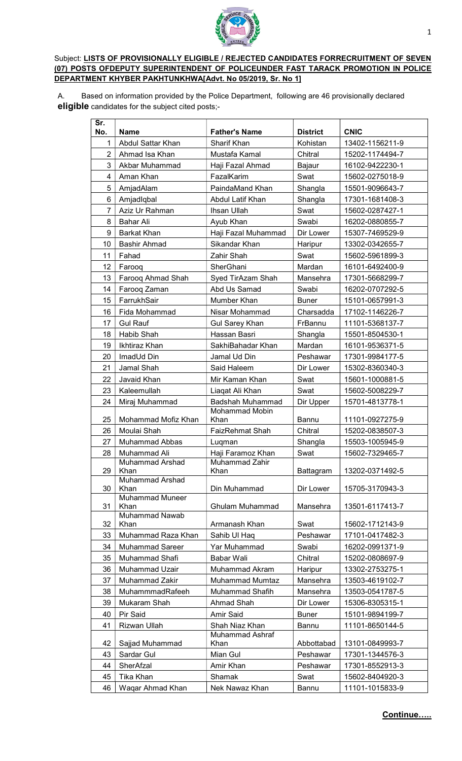

## Subject: LISTS OF PROVISIONALLY ELIGIBLE / REJECTED CANDIDATES FORRECRUITMENT OF SEVEN (07) POSTS OFDEPUTY SUPERINTENDENT OF POLICEUNDER FAST TARACK PROMOTION IN POLICE DEPARTMENT KHYBER PAKHTUNKHWA[Advt. No 05/2019, Sr. No 1]

A. Based on information provided by the Police Department, following are 46 provisionally declared eligible candidates for the subject cited posts;-

| Sr.<br>No.          | <b>Name</b>                            | <b>Father's Name</b>                | <b>District</b> | <b>CNIC</b>     |
|---------------------|----------------------------------------|-------------------------------------|-----------------|-----------------|
| 1                   | Abdul Sattar Khan                      | <b>Sharif Khan</b>                  | Kohistan        | 13402-1156211-9 |
| $\overline{2}$      | Ahmad Isa Khan                         | Mustafa Kamal                       | Chitral         | 15202-1174494-7 |
| 3<br>Akbar Muhammad |                                        | Haji Fazal Ahmad                    | Bajaur          | 16102-9422230-1 |
| 4                   | Aman Khan                              | FazalKarim                          | Swat            | 15602-0275018-9 |
| $\sqrt{5}$          | AmjadAlam                              | PaindaMand Khan                     | Shangla         | 15501-9096643-7 |
| 6                   | Amjadlqbal                             | Abdul Latif Khan                    | Shangla         | 17301-1681408-3 |
| $\overline{7}$      | Aziz Ur Rahman                         | Ihsan Ullah                         | Swat            | 15602-0287427-1 |
| 8                   | Bahar Ali                              | Ayub Khan                           | Swabi           | 16202-0880855-7 |
| 9                   | Barkat Khan                            | Haji Fazal Muhammad                 | Dir Lower       | 15307-7469529-9 |
| 10                  | Bashir Ahmad                           | Sikandar Khan                       | Haripur         | 13302-0342655-7 |
| 11                  | Fahad                                  | Zahir Shah                          | Swat            | 15602-5961899-3 |
| 12                  | Faroog                                 | SherGhani                           | Mardan          | 16101-6492400-9 |
| 13                  | Faroog Ahmad Shah                      | Syed TirAzam Shah                   | Mansehra        | 17301-5668299-7 |
| 14                  | Farooq Zaman                           | Abd Us Samad                        | Swabi           | 16202-0707292-5 |
| 15                  | FarrukhSair                            | Mumber Khan                         | <b>Buner</b>    | 15101-0657991-3 |
| 16                  | Fida Mohammad                          | Nisar Mohammad                      | Charsadda       | 17102-1146226-7 |
| 17                  | <b>Gul Rauf</b>                        | <b>Gul Sarey Khan</b>               | FrBannu         | 11101-5368137-7 |
| 18                  | Habib Shah                             | Hassan Basri                        | Shangla         | 15501-8504530-1 |
| 19                  | Ikhtiraz Khan                          | SakhiBahadar Khan                   | Mardan          | 16101-9536371-5 |
| 20                  | ImadUd Din                             | Jamal Ud Din                        | Peshawar        | 17301-9984177-5 |
| 21                  | Jamal Shah                             | Said Haleem                         | Dir Lower       | 15302-8360340-3 |
| 22                  | Javaid Khan                            | Mir Kaman Khan                      | Swat            | 15601-1000881-5 |
| 23                  | Kaleemullah                            | Liagat Ali Khan                     | Swat            | 15602-5008229-7 |
| 24                  | Miraj Muhammad                         | Badshah Muhammad                    | Dir Upper       | 15701-4813778-1 |
|                     |                                        | <b>Mohammad Mobin</b>               |                 |                 |
| 25                  | Mohammad Mofiz Khan                    | Khan                                | <b>Bannu</b>    | 11101-0927275-9 |
| 26                  | Moulai Shah                            | <b>FaizRehmat Shah</b>              | Chitral         | 15202-0838507-3 |
| 27                  | <b>Muhammad Abbas</b>                  | Luqman                              | Shangla         | 15503-1005945-9 |
| 28                  | Muhammad Ali<br><b>Muhammad Arshad</b> | Haji Faramoz Khan<br>Muhammad Zahir | Swat            | 15602-7329465-7 |
| 29                  | Khan                                   | Khan                                | Battagram       | 13202-0371492-5 |
|                     | Muhammad Arshad                        |                                     |                 |                 |
| 30                  | Khan<br><b>Muhammad Muneer</b>         | Din Muhammad                        | Dir Lower       | 15705-3170943-3 |
| 31                  | Khan                                   | Ghulam Muhammad                     | Mansehra        | 13501-6117413-7 |
|                     | Muhammad Nawab                         |                                     |                 |                 |
| 32                  | Khan                                   | Armanash Khan                       | Swat            | 15602-1712143-9 |
| 33                  | Muhammad Raza Khan                     | Sahib Ul Haq                        | Peshawar        | 17101-0417482-3 |
| 34                  | Muhammad Sareer                        | Yar Muhammad                        | Swabi           | 16202-0991371-9 |
| 35                  | Muhammad Shafi                         | Babar Wali                          | Chitral         | 15202-0808697-9 |
| 36                  | <b>Muhammad Uzair</b>                  | <b>Muhammad Akram</b>               | Haripur         | 13302-2753275-1 |
| 37                  | Muhammad Zakir                         | <b>Muhammad Mumtaz</b>              | Mansehra        | 13503-4619102-7 |
| 38                  | MuhammmadRafeeh                        | <b>Muhammad Shafih</b>              | Mansehra        | 13503-0541787-5 |
| 39                  | Mukaram Shah                           | Ahmad Shah                          | Dir Lower       | 15306-8305315-1 |
| 40                  | Pir Said                               | Amir Said                           | <b>Buner</b>    | 15101-9894199-7 |
| 41                  | Rizwan Ullah                           | Shah Niaz Khan<br>Muhammad Ashraf   | Bannu           | 11101-8650144-5 |
| 42                  | Sajjad Muhammad                        | Khan                                | Abbottabad      | 13101-0849993-7 |
| 43                  | Sardar Gul                             | Mian Gul                            | Peshawar        | 17301-1344576-3 |
| 44                  | SherAfzal                              | Amir Khan                           | Peshawar        | 17301-8552913-3 |
| 45                  | Tika Khan                              | Shamak                              | Swat            | 15602-8404920-3 |
| 46                  | Waqar Ahmad Khan                       | Nek Nawaz Khan                      | Bannu           | 11101-1015833-9 |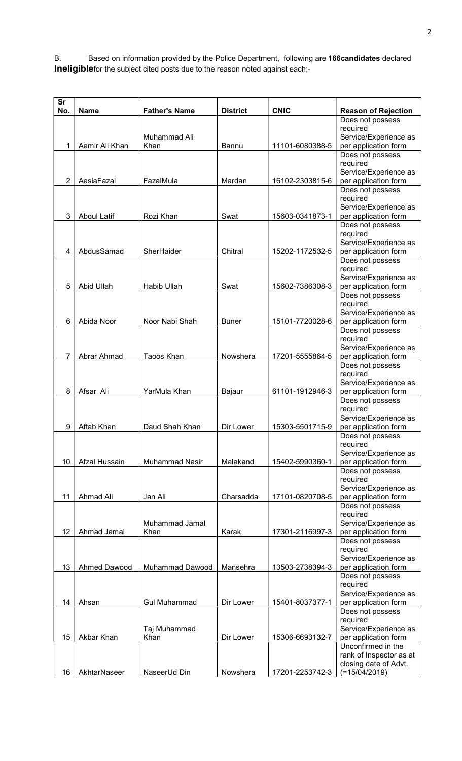B. Based on information provided by the Police Department, following are 166candidates declared Ineligiblefor the subject cited posts due to the reason noted against each;-

| <b>Sr</b><br>No. | <b>Name</b>        | <b>Father's Name</b> | <b>District</b> | <b>CNIC</b>     | <b>Reason of Rejection</b>                    |
|------------------|--------------------|----------------------|-----------------|-----------------|-----------------------------------------------|
|                  |                    |                      |                 |                 | Does not possess                              |
|                  |                    |                      |                 |                 | required                                      |
|                  | Aamir Ali Khan     | Muhammad Ali         |                 | 11101-6080388-5 | Service/Experience as                         |
| 1                |                    | Khan                 | Bannu           |                 | per application form<br>Does not possess      |
|                  |                    |                      |                 |                 | required                                      |
|                  |                    |                      |                 |                 | Service/Experience as                         |
| $\overline{2}$   | AasiaFazal         | FazalMula            | Mardan          | 16102-2303815-6 | per application form                          |
|                  |                    |                      |                 |                 | Does not possess<br>required                  |
|                  |                    |                      |                 |                 | Service/Experience as                         |
| 3                | <b>Abdul Latif</b> | Rozi Khan            | Swat            | 15603-0341873-1 | per application form                          |
|                  |                    |                      |                 |                 | Does not possess                              |
|                  |                    |                      |                 |                 | required<br>Service/Experience as             |
| 4                | AbdusSamad         | SherHaider           | Chitral         | 15202-1172532-5 | per application form                          |
|                  |                    |                      |                 |                 | Does not possess                              |
|                  |                    |                      |                 |                 | required                                      |
| 5                | Abid Ullah         | Habib Ullah          | Swat            | 15602-7386308-3 | Service/Experience as<br>per application form |
|                  |                    |                      |                 |                 | Does not possess                              |
|                  |                    |                      |                 |                 | required                                      |
| 6                | Abida Noor         | Noor Nabi Shah       | <b>Buner</b>    | 15101-7720028-6 | Service/Experience as<br>per application form |
|                  |                    |                      |                 |                 | Does not possess                              |
|                  |                    |                      |                 |                 | required                                      |
|                  |                    |                      |                 |                 | Service/Experience as                         |
| 7                | Abrar Ahmad        | Taoos Khan           | Nowshera        | 17201-5555864-5 | per application form<br>Does not possess      |
|                  |                    |                      |                 |                 | required                                      |
|                  |                    |                      |                 |                 | Service/Experience as                         |
| 8                | Afsar Ali          | YarMula Khan         | Bajaur          | 61101-1912946-3 | per application form                          |
|                  |                    |                      |                 |                 | Does not possess<br>required                  |
|                  |                    |                      |                 |                 | Service/Experience as                         |
| 9                | Aftab Khan         | Daud Shah Khan       | Dir Lower       | 15303-5501715-9 | per application form                          |
|                  |                    |                      |                 |                 | Does not possess<br>required                  |
|                  |                    |                      |                 |                 | Service/Experience as                         |
| 10               | Afzal Hussain      | Muhammad Nasir       | Malakand        | 15402-5990360-1 | per application form                          |
|                  |                    |                      |                 |                 | Does not possess                              |
|                  |                    |                      |                 |                 | required<br>Service/Experience as             |
| 11               | Ahmad Ali          | Jan Ali              | Charsadda       | 17101-0820708-5 | per application form                          |
|                  |                    |                      |                 |                 | Does not possess                              |
|                  |                    | Muhammad Jamal       |                 |                 | required<br>Service/Experience as             |
| 12               | Ahmad Jamal        | Khan                 | Karak           | 17301-2116997-3 | per application form                          |
|                  |                    |                      |                 |                 | Does not possess                              |
|                  |                    |                      |                 |                 | required                                      |
| 13               | Ahmed Dawood       | Muhammad Dawood      | Mansehra        | 13503-2738394-3 | Service/Experience as<br>per application form |
|                  |                    |                      |                 |                 | Does not possess                              |
|                  |                    |                      |                 |                 | required                                      |
|                  |                    |                      |                 |                 | Service/Experience as                         |
| 14               | Ahsan              | <b>Gul Muhammad</b>  | Dir Lower       | 15401-8037377-1 | per application form<br>Does not possess      |
|                  |                    |                      |                 |                 | required                                      |
|                  |                    | Taj Muhammad         |                 |                 | Service/Experience as                         |
| 15               | Akbar Khan         | Khan                 | Dir Lower       | 15306-6693132-7 | per application form<br>Unconfirmed in the    |
|                  |                    |                      |                 |                 | rank of Inspector as at                       |
|                  |                    |                      |                 |                 | closing date of Advt.                         |
| 16               | AkhtarNaseer       | NaseerUd Din         | Nowshera        | 17201-2253742-3 | $(=15/04/2019)$                               |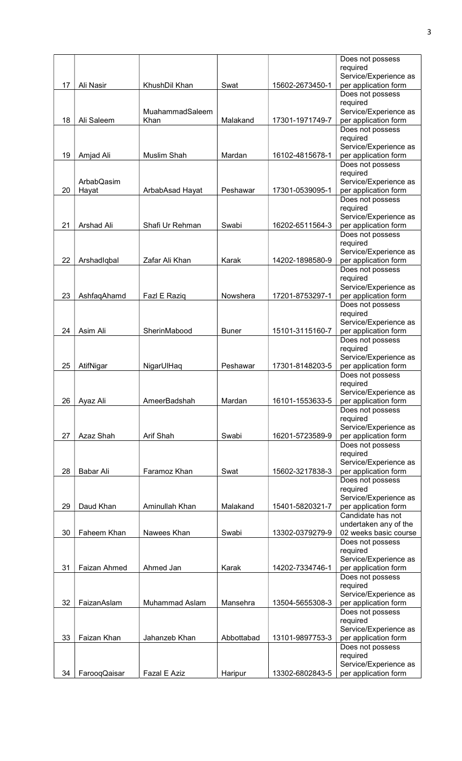|    |              |                 |              |                 | Does not possess                          |
|----|--------------|-----------------|--------------|-----------------|-------------------------------------------|
|    |              |                 |              |                 | required<br>Service/Experience as         |
| 17 | Ali Nasir    | KhushDil Khan   | Swat         | 15602-2673450-1 | per application form                      |
|    |              |                 |              |                 | Does not possess                          |
|    |              | MuahammadSaleem |              |                 | required<br>Service/Experience as         |
| 18 | Ali Saleem   | Khan            | Malakand     | 17301-1971749-7 | per application form                      |
|    |              |                 |              |                 | Does not possess                          |
|    |              |                 |              |                 | required<br>Service/Experience as         |
| 19 | Amjad Ali    | Muslim Shah     | Mardan       | 16102-4815678-1 | per application form                      |
|    |              |                 |              |                 | Does not possess                          |
|    | ArbabQasim   |                 |              |                 | required<br>Service/Experience as         |
| 20 | Hayat        | ArbabAsad Hayat | Peshawar     | 17301-0539095-1 | per application form                      |
|    |              |                 |              |                 | Does not possess                          |
|    |              |                 |              |                 | required<br>Service/Experience as         |
| 21 | Arshad Ali   | Shafi Ur Rehman | Swabi        | 16202-6511564-3 | per application form                      |
|    |              |                 |              |                 | Does not possess<br>required              |
|    |              |                 |              |                 | Service/Experience as                     |
| 22 | Arshadlqbal  | Zafar Ali Khan  | Karak        | 14202-1898580-9 | per application form                      |
|    |              |                 |              |                 | Does not possess<br>required              |
|    |              |                 |              |                 | Service/Experience as                     |
| 23 | AshfaqAhamd  | Fazl E Raziq    | Nowshera     | 17201-8753297-1 | per application form                      |
|    |              |                 |              |                 | Does not possess<br>required              |
|    |              |                 |              |                 | Service/Experience as                     |
| 24 | Asim Ali     | SherinMabood    | <b>Buner</b> | 15101-3115160-7 | per application form                      |
|    |              |                 |              |                 | Does not possess<br>required              |
|    |              |                 |              |                 | Service/Experience as                     |
| 25 | AtifNigar    | NigarUlHaq      | Peshawar     | 17301-8148203-5 | per application form                      |
|    |              |                 |              |                 | Does not possess<br>required              |
|    |              |                 |              |                 | Service/Experience as                     |
| 26 | Ayaz Ali     | AmeerBadshah    | Mardan       | 16101-1553633-5 | per application form                      |
|    |              |                 |              |                 | Does not possess<br>required              |
|    |              |                 |              |                 | Service/Experience as                     |
| 27 | Azaz Shah    | Arif Shah       | Swabi        | 16201-5723589-9 | per application form<br>Does not possess  |
|    |              |                 |              |                 | required                                  |
|    |              |                 |              |                 | Service/Experience as                     |
| 28 | Babar Ali    | Faramoz Khan    | Swat         | 15602-3217838-3 | per application form<br>Does not possess  |
|    |              |                 |              |                 | required                                  |
|    |              |                 |              |                 | Service/Experience as                     |
| 29 | Daud Khan    | Aminullah Khan  | Malakand     | 15401-5820321-7 | per application form<br>Candidate has not |
|    |              |                 |              |                 | undertaken any of the                     |
| 30 | Faheem Khan  | Nawees Khan     | Swabi        | 13302-0379279-9 | 02 weeks basic course                     |
|    |              |                 |              |                 | Does not possess<br>required              |
|    |              |                 |              |                 | Service/Experience as                     |
| 31 | Faizan Ahmed | Ahmed Jan       | Karak        | 14202-7334746-1 | per application form<br>Does not possess  |
|    |              |                 |              |                 | required                                  |
|    |              |                 |              |                 | Service/Experience as                     |
| 32 | FaizanAslam  | Muhammad Aslam  | Mansehra     | 13504-5655308-3 | per application form<br>Does not possess  |
|    |              |                 |              |                 | required                                  |
|    |              |                 |              |                 | Service/Experience as                     |
| 33 | Faizan Khan  | Jahanzeb Khan   | Abbottabad   | 13101-9897753-3 | per application form<br>Does not possess  |
|    |              |                 |              |                 | required                                  |
|    |              |                 |              |                 | Service/Experience as                     |
| 34 | FarooqQaisar | Fazal E Aziz    | Haripur      | 13302-6802843-5 | per application form                      |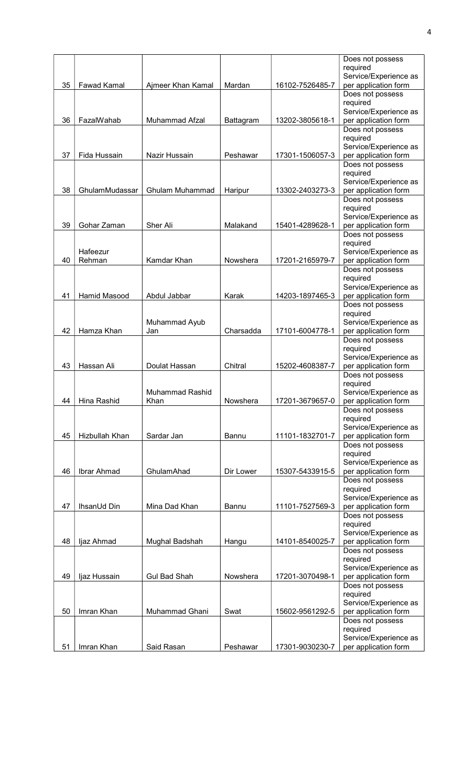|    |                     |                     |           |                 | Does not possess                              |
|----|---------------------|---------------------|-----------|-----------------|-----------------------------------------------|
|    |                     |                     |           |                 | required                                      |
|    |                     |                     |           |                 | Service/Experience as                         |
| 35 | <b>Fawad Kamal</b>  | Ajmeer Khan Kamal   | Mardan    | 16102-7526485-7 | per application form<br>Does not possess      |
|    |                     |                     |           |                 | required                                      |
|    |                     |                     |           |                 | Service/Experience as                         |
| 36 | FazalWahab          | Muhammad Afzal      | Battagram | 13202-3805618-1 | per application form                          |
|    |                     |                     |           |                 | Does not possess                              |
|    |                     |                     |           |                 | required                                      |
|    |                     |                     |           |                 | Service/Experience as                         |
| 37 | Fida Hussain        | Nazir Hussain       | Peshawar  | 17301-1506057-3 | per application form                          |
|    |                     |                     |           |                 | Does not possess                              |
|    |                     |                     |           |                 | required                                      |
| 38 | GhulamMudassar      | Ghulam Muhammad     | Haripur   | 13302-2403273-3 | Service/Experience as<br>per application form |
|    |                     |                     |           |                 | Does not possess                              |
|    |                     |                     |           |                 | required                                      |
|    |                     |                     |           |                 | Service/Experience as                         |
| 39 | Gohar Zaman         | Sher Ali            | Malakand  | 15401-4289628-1 | per application form                          |
|    |                     |                     |           |                 | Does not possess                              |
|    |                     |                     |           |                 | required                                      |
|    | Hafeezur            |                     |           |                 | Service/Experience as                         |
| 40 | Rehman              | Kamdar Khan         | Nowshera  | 17201-2165979-7 | per application form                          |
|    |                     |                     |           |                 | Does not possess<br>required                  |
|    |                     |                     |           |                 | Service/Experience as                         |
| 41 | <b>Hamid Masood</b> | Abdul Jabbar        | Karak     | 14203-1897465-3 | per application form                          |
|    |                     |                     |           |                 | Does not possess                              |
|    |                     |                     |           |                 | required                                      |
|    |                     | Muhammad Ayub       |           |                 | Service/Experience as                         |
| 42 | Hamza Khan          | Jan                 | Charsadda | 17101-6004778-1 | per application form                          |
|    |                     |                     |           |                 | Does not possess                              |
|    |                     |                     |           |                 | required<br>Service/Experience as             |
| 43 | Hassan Ali          | Doulat Hassan       | Chitral   | 15202-4608387-7 | per application form                          |
|    |                     |                     |           |                 | Does not possess                              |
|    |                     |                     |           |                 | required                                      |
|    |                     | Muhammad Rashid     |           |                 | Service/Experience as                         |
| 44 | Hina Rashid         | Khan                | Nowshera  | 17201-3679657-0 | per application form                          |
|    |                     |                     |           |                 | Does not possess                              |
|    |                     |                     |           |                 | required                                      |
|    |                     |                     |           |                 | Service/Experience as                         |
| 45 | Hizbullah Khan      | Sardar Jan          | Bannu     | 11101-1832701-7 | per application form                          |
|    |                     |                     |           |                 | Does not possess<br>required                  |
|    |                     |                     |           |                 | Service/Experience as                         |
| 46 | Ibrar Ahmad         | GhulamAhad          | Dir Lower | 15307-5433915-5 | per application form                          |
|    |                     |                     |           |                 | Does not possess                              |
|    |                     |                     |           |                 | required                                      |
|    |                     |                     |           |                 | Service/Experience as                         |
| 47 | IhsanUd Din         | Mina Dad Khan       | Bannu     | 11101-7527569-3 | per application form                          |
|    |                     |                     |           |                 | Does not possess<br>required                  |
|    |                     |                     |           |                 | Service/Experience as                         |
| 48 | ljaz Ahmad          | Mughal Badshah      | Hangu     | 14101-8540025-7 | per application form                          |
|    |                     |                     |           |                 | Does not possess                              |
|    |                     |                     |           |                 | required                                      |
|    |                     |                     |           |                 | Service/Experience as                         |
| 49 | ljaz Hussain        | <b>Gul Bad Shah</b> | Nowshera  | 17201-3070498-1 | per application form                          |
|    |                     |                     |           |                 | Does not possess                              |
|    |                     |                     |           |                 | required                                      |
| 50 | Imran Khan          | Muhammad Ghani      | Swat      | 15602-9561292-5 | Service/Experience as<br>per application form |
|    |                     |                     |           |                 | Does not possess                              |
|    |                     |                     |           |                 | required                                      |
|    |                     |                     |           |                 | Service/Experience as                         |
| 51 | Imran Khan          | Said Rasan          | Peshawar  | 17301-9030230-7 | per application form                          |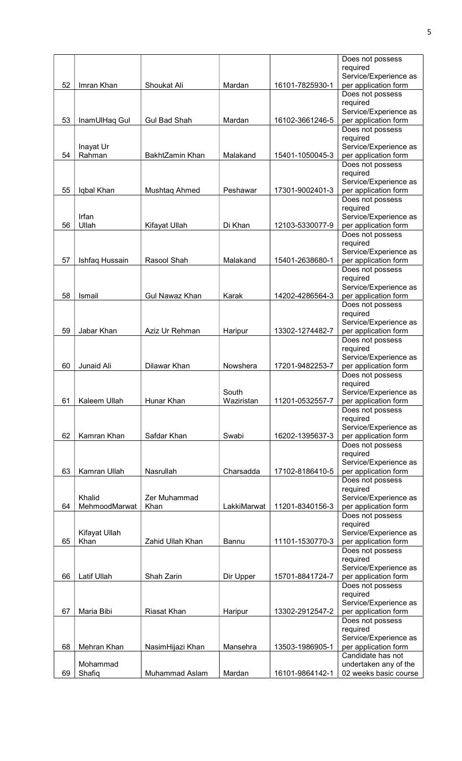|    |                       |                       |             |                 | Does not possess                              |
|----|-----------------------|-----------------------|-------------|-----------------|-----------------------------------------------|
|    |                       |                       |             |                 | required                                      |
| 52 | Imran Khan            | Shoukat Ali           | Mardan      | 16101-7825930-1 | Service/Experience as<br>per application form |
|    |                       |                       |             |                 | Does not possess                              |
|    |                       |                       |             |                 | required                                      |
|    |                       |                       |             |                 | Service/Experience as                         |
| 53 | InamUlHaq Gul         | <b>Gul Bad Shah</b>   | Mardan      | 16102-3661246-5 | per application form                          |
|    |                       |                       |             |                 | Does not possess                              |
|    |                       |                       |             |                 | required                                      |
| 54 | Inayat Ur<br>Rahman   | BakhtZamin Khan       | Malakand    | 15401-1050045-3 | Service/Experience as<br>per application form |
|    |                       |                       |             |                 | Does not possess                              |
|    |                       |                       |             |                 | required                                      |
|    |                       |                       |             |                 | Service/Experience as                         |
| 55 | Iqbal Khan            | Mushtaq Ahmed         | Peshawar    | 17301-9002401-3 | per application form                          |
|    |                       |                       |             |                 | Does not possess                              |
|    | Irfan                 |                       |             |                 | required                                      |
| 56 | Ullah                 | Kifayat Ullah         | Di Khan     | 12103-5330077-9 | Service/Experience as<br>per application form |
|    |                       |                       |             |                 | Does not possess                              |
|    |                       |                       |             |                 | required                                      |
|    |                       |                       |             |                 | Service/Experience as                         |
| 57 | Ishfaq Hussain        | Rasool Shah           | Malakand    | 15401-2638680-1 | per application form                          |
|    |                       |                       |             |                 | Does not possess                              |
|    |                       |                       |             |                 | required<br>Service/Experience as             |
| 58 | Ismail                | <b>Gul Nawaz Khan</b> | Karak       | 14202-4286564-3 | per application form                          |
|    |                       |                       |             |                 | Does not possess                              |
|    |                       |                       |             |                 | required                                      |
|    |                       |                       |             |                 | Service/Experience as                         |
| 59 | Jabar Khan            | Aziz Ur Rehman        | Haripur     | 13302-1274482-7 | per application form                          |
|    |                       |                       |             |                 | Does not possess                              |
|    |                       |                       |             |                 | required<br>Service/Experience as             |
| 60 | Junaid Ali            | Dilawar Khan          | Nowshera    | 17201-9482253-7 | per application form                          |
|    |                       |                       |             |                 | Does not possess                              |
|    |                       |                       |             |                 | required                                      |
|    |                       |                       | South       |                 | Service/Experience as                         |
| 61 | Kaleem Ullah          | Hunar Khan            | Waziristan  | 11201-0532557-7 | per application form                          |
|    |                       |                       |             |                 | Does not possess                              |
|    |                       |                       |             |                 | required<br>Service/Experience as             |
| 62 | Kamran Khan           | Safdar Khan           | Swabi       | 16202-1395637-3 | per application form                          |
|    |                       |                       |             |                 | Does not possess                              |
|    |                       |                       |             |                 | required                                      |
|    |                       |                       |             |                 | Service/Experience as                         |
| 63 | Kamran Ullah          | Nasrullah             | Charsadda   | 17102-8186410-5 | per application form                          |
|    |                       |                       |             |                 | Does not possess<br>required                  |
|    | Khalid                | Zer Muhammad          |             |                 | Service/Experience as                         |
| 64 | MehmoodMarwat         | Khan                  | LakkiMarwat | 11201-8340156-3 | per application form                          |
|    |                       |                       |             |                 | Does not possess                              |
|    |                       |                       |             |                 | required                                      |
| 65 | Kifayat Ullah<br>Khan | Zahid Ullah Khan      | Bannu       | 11101-1530770-3 | Service/Experience as<br>per application form |
|    |                       |                       |             |                 | Does not possess                              |
|    |                       |                       |             |                 | required                                      |
|    |                       |                       |             |                 | Service/Experience as                         |
| 66 | Latif Ullah           | Shah Zarin            | Dir Upper   | 15701-8841724-7 | per application form                          |
|    |                       |                       |             |                 | Does not possess                              |
|    |                       |                       |             |                 | required                                      |
| 67 | Maria Bibi            | Riasat Khan           | Haripur     | 13302-2912547-2 | Service/Experience as<br>per application form |
|    |                       |                       |             |                 | Does not possess                              |
|    |                       |                       |             |                 | required                                      |
|    |                       |                       |             |                 | Service/Experience as                         |
| 68 | Mehran Khan           | NasimHijazi Khan      | Mansehra    | 13503-1986905-1 | per application form                          |
|    |                       |                       |             |                 | Candidate has not                             |
| 69 | Mohammad              | Muhammad Aslam        | Mardan      | 16101-9864142-1 | undertaken any of the                         |
|    | Shafiq                |                       |             |                 | 02 weeks basic course                         |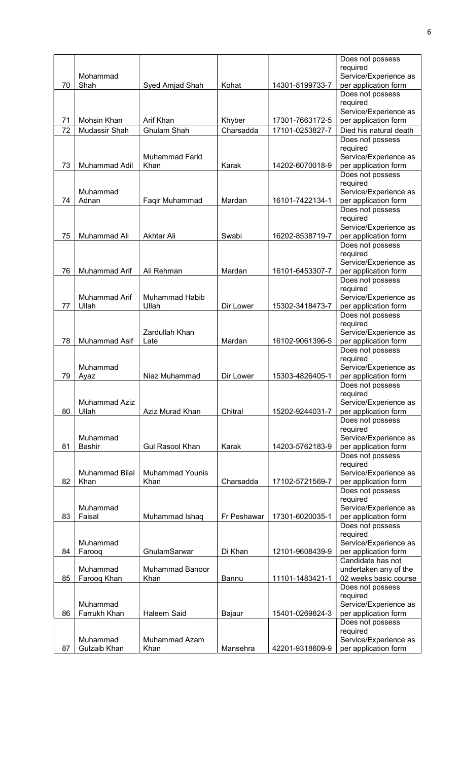|    |                       |                        |             |                 | Does not possess                              |
|----|-----------------------|------------------------|-------------|-----------------|-----------------------------------------------|
|    |                       |                        |             |                 | required                                      |
| 70 | Mohammad<br>Shah      | Syed Amjad Shah        | Kohat       | 14301-8199733-7 | Service/Experience as<br>per application form |
|    |                       |                        |             |                 | Does not possess                              |
|    |                       |                        |             |                 | required                                      |
|    |                       |                        |             |                 | Service/Experience as                         |
| 71 | Mohsin Khan           | Arif Khan              | Khyber      | 17301-7663172-5 | per application form                          |
| 72 | Mudassir Shah         | <b>Ghulam Shah</b>     | Charsadda   | 17101-0253827-7 | Died his natural death                        |
|    |                       |                        |             |                 | Does not possess                              |
|    |                       | Muhammad Farid         |             |                 | required<br>Service/Experience as             |
| 73 | Muhammad Adil         | Khan                   | Karak       | 14202-6070018-9 | per application form                          |
|    |                       |                        |             |                 | Does not possess                              |
|    |                       |                        |             |                 | required                                      |
|    | Muhammad              |                        |             |                 | Service/Experience as                         |
| 74 | Adnan                 | Faqir Muhammad         | Mardan      | 16101-7422134-1 | per application form                          |
|    |                       |                        |             |                 | Does not possess<br>required                  |
|    |                       |                        |             |                 | Service/Experience as                         |
| 75 | Muhammad Ali          | <b>Akhtar Ali</b>      | Swabi       | 16202-8538719-7 | per application form                          |
|    |                       |                        |             |                 | Does not possess                              |
|    |                       |                        |             |                 | required                                      |
|    |                       |                        |             |                 | Service/Experience as                         |
| 76 | Muhammad Arif         | Ali Rehman             | Mardan      | 16101-6453307-7 | per application form<br>Does not possess      |
|    |                       |                        |             |                 | required                                      |
|    | Muhammad Arif         | <b>Muhammad Habib</b>  |             |                 | Service/Experience as                         |
| 77 | Ullah                 | Ullah                  | Dir Lower   | 15302-3418473-7 | per application form                          |
|    |                       |                        |             |                 | Does not possess                              |
|    |                       |                        |             |                 | required                                      |
| 78 | Muhammad Asif         | Zardullah Khan<br>Late | Mardan      | 16102-9061396-5 | Service/Experience as<br>per application form |
|    |                       |                        |             |                 | Does not possess                              |
|    |                       |                        |             |                 | required                                      |
|    | Muhammad              |                        |             |                 | Service/Experience as                         |
| 79 | Ayaz                  | Niaz Muhammad          | Dir Lower   | 15303-4826405-1 | per application form                          |
|    |                       |                        |             |                 | Does not possess<br>required                  |
|    | <b>Muhammad Aziz</b>  |                        |             |                 | Service/Experience as                         |
| 80 | Ullah                 | Aziz Murad Khan        | Chitral     | 15202-9244031-7 | per application form                          |
|    |                       |                        |             |                 | Does not possess                              |
|    |                       |                        |             |                 | required                                      |
| 81 | Muhammad              | <b>Gul Rasool Khan</b> | Karak       | 14203-5762183-9 | Service/Experience as                         |
|    | <b>Bashir</b>         |                        |             |                 | per application form<br>Does not possess      |
|    |                       |                        |             |                 | required                                      |
|    | <b>Muhammad Bilal</b> | <b>Muhammad Younis</b> |             |                 | Service/Experience as                         |
| 82 | Khan                  | Khan                   | Charsadda   | 17102-5721569-7 | per application form                          |
|    |                       |                        |             |                 | Does not possess                              |
|    | Muhammad              |                        |             |                 | required<br>Service/Experience as             |
| 83 | Faisal                | Muhammad Ishaq         | Fr Peshawar | 17301-6020035-1 | per application form                          |
|    |                       |                        |             |                 | Does not possess                              |
|    |                       |                        |             |                 | required                                      |
|    | Muhammad              |                        |             |                 | Service/Experience as                         |
| 84 | Farooq                | GhulamSarwar           | Di Khan     | 12101-9608439-9 | per application form<br>Candidate has not     |
|    | Muhammad              | <b>Muhammad Banoor</b> |             |                 | undertaken any of the                         |
| 85 | Faroog Khan           | Khan                   | Bannu       | 11101-1483421-1 | 02 weeks basic course                         |
|    |                       |                        |             |                 | Does not possess                              |
|    |                       |                        |             |                 | required                                      |
|    | Muhammad              |                        |             |                 | Service/Experience as                         |
| 86 | Farrukh Khan          | Haleem Said            | Bajaur      | 15401-0269824-3 | per application form<br>Does not possess      |
|    |                       |                        |             |                 | required                                      |
|    | Muhammad              | Muhammad Azam          |             |                 | Service/Experience as                         |
|    |                       |                        |             |                 |                                               |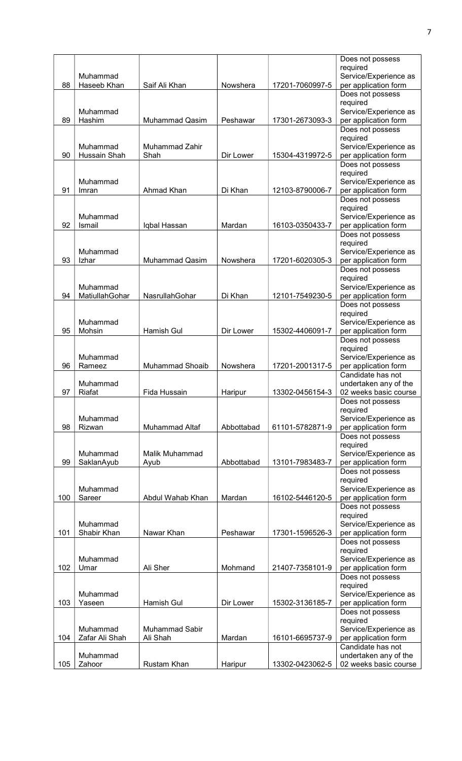|     |                          |                               |            |                 | Does not possess                               |
|-----|--------------------------|-------------------------------|------------|-----------------|------------------------------------------------|
|     | Muhammad                 |                               |            |                 | required<br>Service/Experience as              |
| 88  | Haseeb Khan              | Saif Ali Khan                 | Nowshera   | 17201-7060997-5 | per application form                           |
|     |                          |                               |            |                 | Does not possess                               |
|     |                          |                               |            |                 | required                                       |
| 89  | Muhammad<br>Hashim       | <b>Muhammad Qasim</b>         | Peshawar   | 17301-2673093-3 | Service/Experience as<br>per application form  |
|     |                          |                               |            |                 | Does not possess                               |
|     |                          |                               |            |                 | required                                       |
| 90  | Muhammad<br>Hussain Shah | <b>Muhammad Zahir</b><br>Shah | Dir Lower  | 15304-4319972-5 | Service/Experience as<br>per application form  |
|     |                          |                               |            |                 | Does not possess                               |
|     |                          |                               |            |                 | required                                       |
| 91  | Muhammad                 |                               | Di Khan    |                 | Service/Experience as                          |
|     | Imran                    | Ahmad Khan                    |            | 12103-8790006-7 | per application form<br>Does not possess       |
|     |                          |                               |            |                 | required                                       |
|     | Muhammad                 |                               |            |                 | Service/Experience as                          |
| 92  | Ismail                   | Iqbal Hassan                  | Mardan     | 16103-0350433-7 | per application form<br>Does not possess       |
|     |                          |                               |            |                 | required                                       |
|     | Muhammad                 |                               |            |                 | Service/Experience as                          |
| 93  | Izhar                    | Muhammad Qasim                | Nowshera   | 17201-6020305-3 | per application form                           |
|     |                          |                               |            |                 | Does not possess<br>required                   |
|     | Muhammad                 |                               |            |                 | Service/Experience as                          |
| 94  | MatiullahGohar           | NasrullahGohar                | Di Khan    | 12101-7549230-5 | per application form                           |
|     |                          |                               |            |                 | Does not possess<br>required                   |
|     | Muhammad                 |                               |            |                 | Service/Experience as                          |
| 95  | Mohsin                   | Hamish Gul                    | Dir Lower  | 15302-4406091-7 | per application form                           |
|     |                          |                               |            |                 | Does not possess                               |
|     | Muhammad                 |                               |            |                 | required<br>Service/Experience as              |
| 96  | Rameez                   | <b>Muhammad Shoaib</b>        | Nowshera   | 17201-2001317-5 | per application form                           |
|     |                          |                               |            |                 | Candidate has not                              |
| 97  | Muhammad<br>Riafat       | Fida Hussain                  | Haripur    | 13302-0456154-3 | undertaken any of the<br>02 weeks basic course |
|     |                          |                               |            |                 | Does not possess                               |
|     |                          |                               |            |                 | required                                       |
| 98  | Muhammad<br>Rizwan       | <b>Muhammad Altaf</b>         | Abbottabad | 61101-5782871-9 | Service/Experience as<br>per application form  |
|     |                          |                               |            |                 | Does not possess                               |
|     |                          |                               |            |                 | required                                       |
| 99  | Muhammad<br>SaklanAyub   | Malik Muhammad                | Abbottabad | 13101-7983483-7 | Service/Experience as<br>per application form  |
|     |                          | Ayub                          |            |                 | Does not possess                               |
|     |                          |                               |            |                 | required                                       |
|     | Muhammad                 |                               |            |                 | Service/Experience as                          |
| 100 | Sareer                   | Abdul Wahab Khan              | Mardan     | 16102-5446120-5 | per application form<br>Does not possess       |
|     |                          |                               |            |                 | required                                       |
|     | Muhammad                 |                               |            |                 | Service/Experience as                          |
| 101 | Shabir Khan              | Nawar Khan                    | Peshawar   | 17301-1596526-3 | per application form<br>Does not possess       |
|     |                          |                               |            |                 | required                                       |
|     | Muhammad                 |                               |            |                 | Service/Experience as                          |
| 102 | Umar                     | Ali Sher                      | Mohmand    | 21407-7358101-9 | per application form<br>Does not possess       |
|     |                          |                               |            |                 | required                                       |
|     | Muhammad                 |                               |            |                 | Service/Experience as                          |
| 103 | Yaseen                   | Hamish Gul                    | Dir Lower  | 15302-3136185-7 | per application form                           |
|     |                          |                               |            |                 | Does not possess<br>required                   |
|     | Muhammad                 | Muhammad Sabir                |            |                 | Service/Experience as                          |
| 104 |                          |                               |            |                 |                                                |
|     | Zafar Ali Shah           | Ali Shah                      | Mardan     | 16101-6695737-9 | per application form                           |
|     | Muhammad                 |                               |            |                 | Candidate has not<br>undertaken any of the     |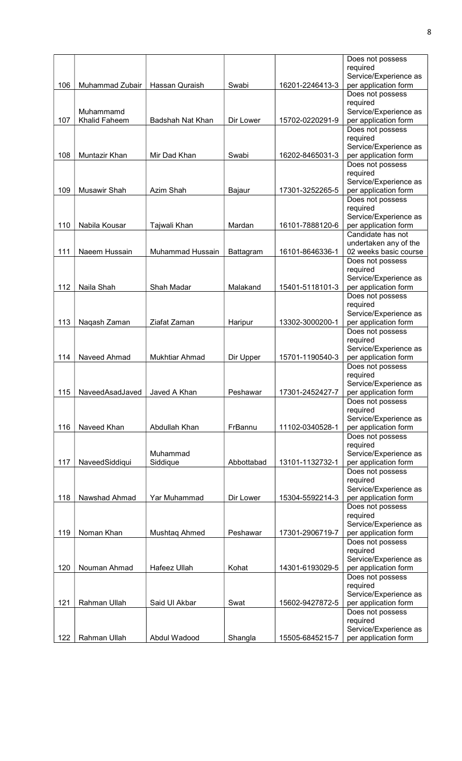|     |                      |                  |            |                 | Does not possess                              |
|-----|----------------------|------------------|------------|-----------------|-----------------------------------------------|
|     |                      |                  |            |                 | required                                      |
|     |                      |                  |            |                 | Service/Experience as                         |
| 106 | Muhammad Zubair      | Hassan Quraish   | Swabi      | 16201-2246413-3 | per application form                          |
|     |                      |                  |            |                 | Does not possess                              |
|     | Muhammamd            |                  |            |                 | required<br>Service/Experience as             |
| 107 | <b>Khalid Faheem</b> | Badshah Nat Khan | Dir Lower  | 15702-0220291-9 | per application form                          |
|     |                      |                  |            |                 | Does not possess                              |
|     |                      |                  |            |                 | required                                      |
|     |                      |                  |            |                 | Service/Experience as                         |
| 108 | Muntazir Khan        | Mir Dad Khan     | Swabi      | 16202-8465031-3 | per application form                          |
|     |                      |                  |            |                 | Does not possess                              |
|     |                      |                  |            |                 | required                                      |
|     |                      |                  |            |                 | Service/Experience as                         |
| 109 | Musawir Shah         | Azim Shah        | Bajaur     | 17301-3252265-5 | per application form                          |
|     |                      |                  |            |                 | Does not possess                              |
|     |                      |                  |            |                 | required<br>Service/Experience as             |
| 110 | Nabila Kousar        | Tajwali Khan     | Mardan     | 16101-7888120-6 | per application form                          |
|     |                      |                  |            |                 | Candidate has not                             |
|     |                      |                  |            |                 | undertaken any of the                         |
| 111 | Naeem Hussain        | Muhammad Hussain | Battagram  | 16101-8646336-1 | 02 weeks basic course                         |
|     |                      |                  |            |                 | Does not possess                              |
|     |                      |                  |            |                 | required                                      |
|     |                      |                  |            |                 | Service/Experience as                         |
| 112 | Naila Shah           | Shah Madar       | Malakand   | 15401-5118101-3 | per application form                          |
|     |                      |                  |            |                 | Does not possess                              |
|     |                      |                  |            |                 | required                                      |
| 113 | Naqash Zaman         | Ziafat Zaman     | Haripur    | 13302-3000200-1 | Service/Experience as<br>per application form |
|     |                      |                  |            |                 | Does not possess                              |
|     |                      |                  |            |                 | required                                      |
|     |                      |                  |            |                 | Service/Experience as                         |
| 114 | Naveed Ahmad         | Mukhtiar Ahmad   | Dir Upper  | 15701-1190540-3 | per application form                          |
|     |                      |                  |            |                 | Does not possess                              |
|     |                      |                  |            |                 | required                                      |
|     |                      |                  |            |                 | Service/Experience as                         |
| 115 | NaveedAsadJaved      | Javed A Khan     | Peshawar   | 17301-2452427-7 | per application form                          |
|     |                      |                  |            |                 | Does not possess                              |
|     |                      |                  |            |                 | required<br>Service/Experience as             |
| 116 | Naveed Khan          | Abdullah Khan    | FrBannu    | 11102-0340528-1 | per application form                          |
|     |                      |                  |            |                 | Does not possess                              |
|     |                      |                  |            |                 | required                                      |
|     |                      | Muhammad         |            |                 | Service/Experience as                         |
| 117 | NaveedSiddiqui       | Siddique         | Abbottabad | 13101-1132732-1 | per application form                          |
|     |                      |                  |            |                 | Does not possess                              |
|     |                      |                  |            |                 | required                                      |
|     |                      |                  |            |                 | Service/Experience as                         |
| 118 | Nawshad Ahmad        | Yar Muhammad     | Dir Lower  | 15304-5592214-3 | per application form                          |
|     |                      |                  |            |                 | Does not possess<br>required                  |
|     |                      |                  |            |                 | Service/Experience as                         |
| 119 | Noman Khan           | Mushtaq Ahmed    | Peshawar   | 17301-2906719-7 | per application form                          |
|     |                      |                  |            |                 | Does not possess                              |
|     |                      |                  |            |                 | required                                      |
|     |                      |                  |            |                 | Service/Experience as                         |
| 120 | Nouman Ahmad         | Hafeez Ullah     | Kohat      | 14301-6193029-5 | per application form                          |
|     |                      |                  |            |                 | Does not possess                              |
|     |                      |                  |            |                 | required                                      |
| 121 | Rahman Ullah         | Said Ul Akbar    | Swat       |                 | Service/Experience as                         |
|     |                      |                  |            | 15602-9427872-5 | per application form<br>Does not possess      |
|     |                      |                  |            |                 | required                                      |
|     |                      |                  |            |                 | Service/Experience as                         |
| 122 | Rahman Ullah         | Abdul Wadood     | Shangla    | 15505-6845215-7 | per application form                          |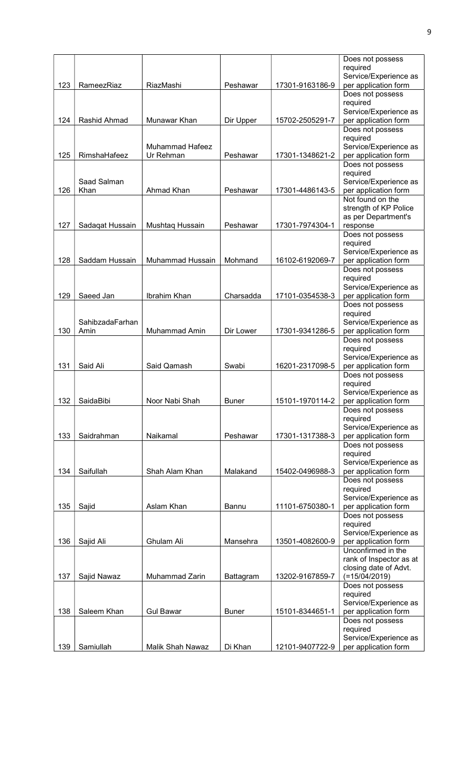|     |                         |                        |              |                 | Does not possess                              |
|-----|-------------------------|------------------------|--------------|-----------------|-----------------------------------------------|
|     |                         |                        |              |                 | required                                      |
| 123 | RameezRiaz              | RiazMashi              | Peshawar     | 17301-9163186-9 | Service/Experience as<br>per application form |
|     |                         |                        |              |                 | Does not possess                              |
|     |                         |                        |              |                 | required                                      |
|     |                         |                        |              |                 | Service/Experience as                         |
| 124 | Rashid Ahmad            | Munawar Khan           | Dir Upper    | 15702-2505291-7 | per application form                          |
|     |                         |                        |              |                 | Does not possess                              |
|     |                         | <b>Muhammad Hafeez</b> |              |                 | required                                      |
| 125 | RimshaHafeez            | Ur Rehman              | Peshawar     | 17301-1348621-2 | Service/Experience as<br>per application form |
|     |                         |                        |              |                 | Does not possess                              |
|     |                         |                        |              |                 | required                                      |
|     | Saad Salman             |                        |              |                 | Service/Experience as                         |
| 126 | Khan                    | Ahmad Khan             | Peshawar     | 17301-4486143-5 | per application form                          |
|     |                         |                        |              |                 | Not found on the                              |
|     |                         |                        |              |                 | strength of KP Police<br>as per Department's  |
| 127 | Sadaqat Hussain         | Mushtaq Hussain        | Peshawar     | 17301-7974304-1 | response                                      |
|     |                         |                        |              |                 | Does not possess                              |
|     |                         |                        |              |                 | required                                      |
|     |                         |                        |              |                 | Service/Experience as                         |
| 128 | Saddam Hussain          | Muhammad Hussain       | Mohmand      | 16102-6192069-7 | per application form<br>Does not possess      |
|     |                         |                        |              |                 | required                                      |
|     |                         |                        |              |                 | Service/Experience as                         |
| 129 | Saeed Jan               | Ibrahim Khan           | Charsadda    | 17101-0354538-3 | per application form                          |
|     |                         |                        |              |                 | Does not possess                              |
|     |                         |                        |              |                 | required                                      |
| 130 | SahibzadaFarhan<br>Amin | Muhammad Amin          | Dir Lower    | 17301-9341286-5 | Service/Experience as<br>per application form |
|     |                         |                        |              |                 | Does not possess                              |
|     |                         |                        |              |                 | required                                      |
|     |                         |                        |              |                 | Service/Experience as                         |
| 131 | Said Ali                | Said Qamash            | Swabi        | 16201-2317098-5 | per application form                          |
|     |                         |                        |              |                 | Does not possess<br>required                  |
|     |                         |                        |              |                 | Service/Experience as                         |
| 132 | SaidaBibi               | Noor Nabi Shah         | <b>Buner</b> | 15101-1970114-2 | per application form                          |
|     |                         |                        |              |                 | Does not possess                              |
|     |                         |                        |              |                 | required                                      |
|     |                         |                        |              |                 | Service/Experience as                         |
| 133 | Saidrahman              | Naikamal               | Peshawar     | 17301-1317388-3 | per application form<br>Does not possess      |
|     |                         |                        |              |                 | required                                      |
|     |                         |                        |              |                 | Service/Experience as                         |
| 134 | Saifullah               | Shah Alam Khan         | Malakand     | 15402-0496988-3 | per application form                          |
|     |                         |                        |              |                 | Does not possess                              |
|     |                         |                        |              |                 | required<br>Service/Experience as             |
| 135 | Sajid                   | Aslam Khan             | Bannu        | 11101-6750380-1 | per application form                          |
|     |                         |                        |              |                 | Does not possess                              |
|     |                         |                        |              |                 | required                                      |
|     |                         |                        |              |                 | Service/Experience as                         |
| 136 | Sajid Ali               | Ghulam Ali             | Mansehra     | 13501-4082600-9 | per application form<br>Unconfirmed in the    |
|     |                         |                        |              |                 | rank of Inspector as at                       |
|     |                         |                        |              |                 | closing date of Advt.                         |
| 137 | Sajid Nawaz             | Muhammad Zarin         | Battagram    | 13202-9167859-7 | $(=15/04/2019)$                               |
|     |                         |                        |              |                 | Does not possess                              |
|     |                         |                        |              |                 | required                                      |
| 138 | Saleem Khan             | <b>Gul Bawar</b>       | <b>Buner</b> | 15101-8344651-1 | Service/Experience as<br>per application form |
|     |                         |                        |              |                 | Does not possess                              |
|     |                         |                        |              |                 | required                                      |
|     |                         |                        |              |                 | Service/Experience as                         |
| 139 | Samiullah               | Malik Shah Nawaz       | Di Khan      | 12101-9407722-9 | per application form                          |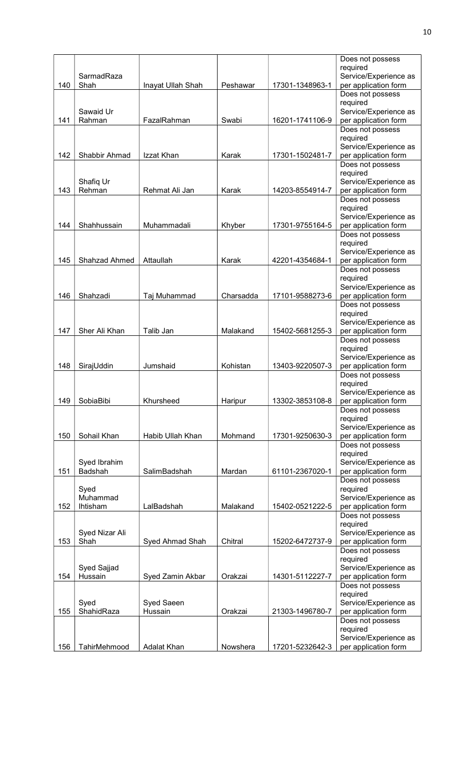|     |                     |                   |           |                 | Does not possess                              |
|-----|---------------------|-------------------|-----------|-----------------|-----------------------------------------------|
|     |                     |                   |           |                 | required                                      |
|     | SarmadRaza          |                   |           |                 | Service/Experience as                         |
| 140 | Shah                | Inayat Ullah Shah | Peshawar  | 17301-1348963-1 | per application form                          |
|     |                     |                   |           |                 | Does not possess<br>required                  |
|     | Sawaid Ur           |                   |           |                 | Service/Experience as                         |
| 141 | Rahman              | FazalRahman       | Swabi     | 16201-1741106-9 | per application form                          |
|     |                     |                   |           |                 | Does not possess                              |
|     |                     |                   |           |                 | required                                      |
|     |                     |                   |           |                 | Service/Experience as                         |
| 142 | Shabbir Ahmad       | Izzat Khan        | Karak     | 17301-1502481-7 | per application form                          |
|     |                     |                   |           |                 | Does not possess                              |
|     |                     |                   |           |                 | required                                      |
| 143 | Shafiq Ur<br>Rehman |                   | Karak     |                 | Service/Experience as                         |
|     |                     | Rehmat Ali Jan    |           | 14203-8554914-7 | per application form<br>Does not possess      |
|     |                     |                   |           |                 | required                                      |
|     |                     |                   |           |                 | Service/Experience as                         |
| 144 | Shahhussain         | Muhammadali       | Khyber    | 17301-9755164-5 | per application form                          |
|     |                     |                   |           |                 | Does not possess                              |
|     |                     |                   |           |                 | required                                      |
|     |                     |                   |           |                 | Service/Experience as                         |
| 145 | Shahzad Ahmed       | Attaullah         | Karak     | 42201-4354684-1 | per application form                          |
|     |                     |                   |           |                 | Does not possess                              |
|     |                     |                   |           |                 | required                                      |
| 146 | Shahzadi            | Taj Muhammad      | Charsadda | 17101-9588273-6 | Service/Experience as<br>per application form |
|     |                     |                   |           |                 | Does not possess                              |
|     |                     |                   |           |                 | required                                      |
|     |                     |                   |           |                 | Service/Experience as                         |
| 147 | Sher Ali Khan       | Talib Jan         | Malakand  | 15402-5681255-3 | per application form                          |
|     |                     |                   |           |                 | Does not possess                              |
|     |                     |                   |           |                 | required                                      |
|     |                     |                   |           |                 | Service/Experience as                         |
| 148 | SirajUddin          | Jumshaid          | Kohistan  | 13403-9220507-3 | per application form                          |
|     |                     |                   |           |                 | Does not possess                              |
|     |                     |                   |           |                 | required<br>Service/Experience as             |
| 149 | SobiaBibi           | Khursheed         | Haripur   | 13302-3853108-8 | per application form                          |
|     |                     |                   |           |                 | Does not possess                              |
|     |                     |                   |           |                 | required                                      |
|     |                     |                   |           |                 | Service/Experience as                         |
| 150 | Sohail Khan         | Habib Ullah Khan  | Mohmand   | 17301-9250630-3 | per application form                          |
|     |                     |                   |           |                 | Does not possess                              |
|     |                     |                   |           |                 | required                                      |
|     | Syed Ibrahim        |                   |           |                 | Service/Experience as                         |
| 151 | Badshah             | SalimBadshah      | Mardan    | 61101-2367020-1 | per application form                          |
|     | Syed                |                   |           |                 | Does not possess<br>required                  |
|     | Muhammad            |                   |           |                 | Service/Experience as                         |
| 152 | Ihtisham            | LalBadshah        | Malakand  | 15402-0521222-5 | per application form                          |
|     |                     |                   |           |                 | Does not possess                              |
|     |                     |                   |           |                 | required                                      |
|     | Syed Nizar Ali      |                   |           |                 | Service/Experience as                         |
| 153 | Shah                | Syed Ahmad Shah   | Chitral   | 15202-6472737-9 | per application form                          |
|     |                     |                   |           |                 | Does not possess                              |
|     |                     |                   |           |                 | required                                      |
|     | Syed Sajjad         |                   |           |                 | Service/Experience as                         |
| 154 | Hussain             | Syed Zamin Akbar  | Orakzai   | 14301-5112227-7 | per application form                          |
|     |                     |                   |           |                 | Does not possess<br>required                  |
|     | Syed                | Syed Saeen        |           |                 | Service/Experience as                         |
| 155 | ShahidRaza          | Hussain           | Orakzai   | 21303-1496780-7 | per application form                          |
|     |                     |                   |           |                 | Does not possess                              |
|     |                     |                   |           |                 | required                                      |
|     |                     |                   |           |                 | Service/Experience as                         |
| 156 | TahirMehmood        | Adalat Khan       | Nowshera  | 17201-5232642-3 | per application form                          |